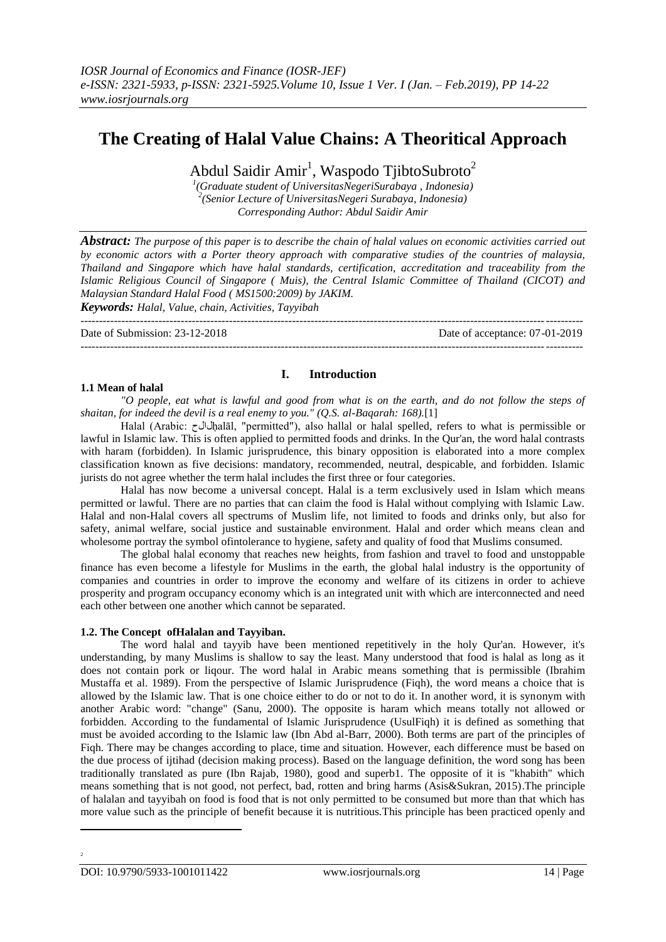# **The Creating of Halal Value Chains: A Theoritical Approach**

Abdul Saidir Amir<sup>1</sup>, Waspodo TjibtoSubroto<sup>2</sup>

*1 (Graduate student of UniversitasNegeriSurabaya , Indonesia) 2 (Senior Lecture of UniversitasNegeri Surabaya, Indonesia) Corresponding Author: Abdul Saidir Amir*

*Abstract: The purpose of this paper is to describe the chain of halal values on economic activities carried out by economic actors with a Porter theory approach with comparative studies of the countries of malaysia, Thailand and Singapore which have halal standards, certification, accreditation and traceability from the Islamic Religious Council of Singapore ( Muis), the Central Islamic Committee of Thailand (CICOT) and Malaysian Standard Halal Food ( MS1500:2009) by JAKIM.*

*Keywords: Halal, Value, chain, Activities, Tayyibah*

---------------------------------------------------------------------------------------------------------------------------------------

Date of Submission: 23-12-2018 Date of acceptance: 07-01-2019

## **1.1 Mean of halal**

## **I. Introduction**

*"O people, eat what is lawful and good from what is on the earth, and do not follow the steps of shaitan, for indeed the devil is a real enemy to you." (Q.S. al-Baqarah: 168).*[1]

---------------------------------------------------------------------------------------------------------------------------------------

Halal (Arabic: لالحhalāl, "permitted"), also hallal or halal spelled, refers to what is permissible or lawful in Islamic law. This is often applied to permitted foods and drinks. In the Qur'an, the word halal contrasts with haram (forbidden). In Islamic jurisprudence, this binary opposition is elaborated into a more complex classification known as five decisions: mandatory, recommended, neutral, despicable, and forbidden. Islamic jurists do not agree whether the term halal includes the first three or four categories.

Halal has now become a universal concept. Halal is a term exclusively used in Islam which means permitted or lawful. There are no parties that can claim the food is Halal without complying with Islamic Law. Halal and non-Halal covers all spectrums of Muslim life, not limited to foods and drinks only, but also for safety, animal welfare, social justice and sustainable environment. Halal and order which means clean and wholesome portray the symbol ofintolerance to hygiene, safety and quality of food that Muslims consumed.

The global halal economy that reaches new heights, from fashion and travel to food and unstoppable finance has even become a lifestyle for Muslims in the earth, the global halal industry is the opportunity of companies and countries in order to improve the economy and welfare of its citizens in order to achieve prosperity and program occupancy economy which is an integrated unit with which are interconnected and need each other between one another which cannot be separated.

## **1.2. The Concept ofHalalan and Tayyiban.**

The word halal and tayyib have been mentioned repetitively in the holy Qur'an. However, it's understanding, by many Muslims is shallow to say the least. Many understood that food is halal as long as it does not contain pork or liqour. The word halal in Arabic means something that is permissible (Ibrahim Mustaffa et al. 1989). From the perspective of Islamic Jurisprudence (Fiqh), the word means a choice that is allowed by the Islamic law. That is one choice either to do or not to do it. In another word, it is synonym with another Arabic word: "change" (Sanu, 2000). The opposite is haram which means totally not allowed or forbidden. According to the fundamental of Islamic Jurisprudence (UsulFiqh) it is defined as something that must be avoided according to the Islamic law (Ibn Abd al-Barr, 2000). Both terms are part of the principles of Fiqh. There may be changes according to place, time and situation. However, each difference must be based on the due process of ijtihad (decision making process). Based on the language definition, the word song has been traditionally translated as pure (Ibn Rajab, 1980), good and superb1. The opposite of it is "khabith" which means something that is not good, not perfect, bad, rotten and bring harms (Asis&Sukran, 2015).The principle of halalan and tayyibah on food is food that is not only permitted to be consumed but more than that which has more value such as the principle of benefit because it is nutritious.This principle has been practiced openly and

1

2

DOI: 10.9790/5933-1001011422 www.iosrjournals.org 14 | Page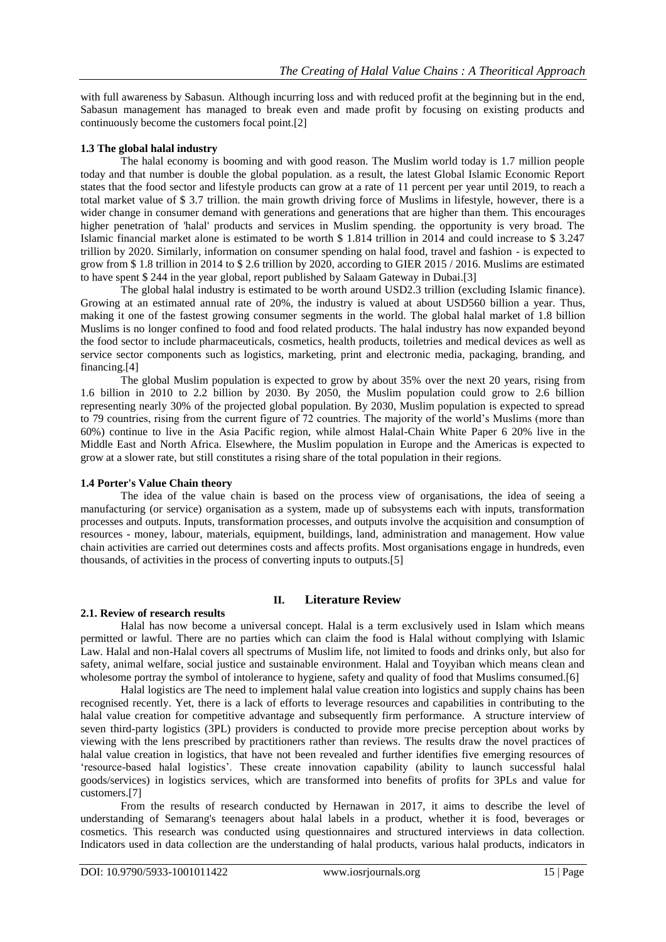with full awareness by Sabasun. Although incurring loss and with reduced profit at the beginning but in the end, Sabasun management has managed to break even and made profit by focusing on existing products and continuously become the customers focal point.[2]

## **1.3 The global halal industry**

The halal economy is booming and with good reason. The Muslim world today is 1.7 million people today and that number is double the global population. as a result, the latest Global Islamic Economic Report states that the food sector and lifestyle products can grow at a rate of 11 percent per year until 2019, to reach a total market value of \$ 3.7 trillion. the main growth driving force of Muslims in lifestyle, however, there is a wider change in consumer demand with generations and generations that are higher than them. This encourages higher penetration of 'halal' products and services in Muslim spending. the opportunity is very broad. The Islamic financial market alone is estimated to be worth \$ 1.814 trillion in 2014 and could increase to \$ 3.247 trillion by 2020. Similarly, information on consumer spending on halal food, travel and fashion - is expected to grow from \$ 1.8 trillion in 2014 to \$ 2.6 trillion by 2020, according to GIER 2015 / 2016. Muslims are estimated to have spent \$ 244 in the year global, report published by Salaam Gateway in Dubai.[3]

The global halal industry is estimated to be worth around USD2.3 trillion (excluding Islamic finance). Growing at an estimated annual rate of 20%, the industry is valued at about USD560 billion a year. Thus, making it one of the fastest growing consumer segments in the world. The global halal market of 1.8 billion Muslims is no longer confined to food and food related products. The halal industry has now expanded beyond the food sector to include pharmaceuticals, cosmetics, health products, toiletries and medical devices as well as service sector components such as logistics, marketing, print and electronic media, packaging, branding, and financing.[4]

The global Muslim population is expected to grow by about 35% over the next 20 years, rising from 1.6 billion in 2010 to 2.2 billion by 2030. By 2050, the Muslim population could grow to 2.6 billion representing nearly 30% of the projected global population. By 2030, Muslim population is expected to spread to 79 countries, rising from the current figure of 72 countries. The majority of the world"s Muslims (more than 60%) continue to live in the Asia Pacific region, while almost Halal-Chain White Paper 6 20% live in the Middle East and North Africa. Elsewhere, the Muslim population in Europe and the Americas is expected to grow at a slower rate, but still constitutes a rising share of the total population in their regions.

## **1.4 Porter's Value Chain theory**

The idea of the value chain is based on the process view of organisations, the idea of seeing a manufacturing (or service) organisation as a system, made up of subsystems each with inputs, transformation processes and outputs. Inputs, transformation processes, and outputs involve the acquisition and consumption of resources - money, labour, materials, equipment, buildings, land, administration and management. How value chain activities are carried out determines costs and affects profits. Most organisations engage in hundreds, even thousands, of activities in the process of converting inputs to outputs.[5]

## **II. Literature Review**

## **2.1. Review of research results**

Halal has now become a universal concept. Halal is a term exclusively used in Islam which means permitted or lawful. There are no parties which can claim the food is Halal without complying with Islamic Law. Halal and non-Halal covers all spectrums of Muslim life, not limited to foods and drinks only, but also for safety, animal welfare, social justice and sustainable environment. Halal and Toyyiban which means clean and wholesome portray the symbol of intolerance to hygiene, safety and quality of food that Muslims consumed.[6]

Halal logistics are The need to implement halal value creation into logistics and supply chains has been recognised recently. Yet, there is a lack of efforts to leverage resources and capabilities in contributing to the halal value creation for competitive advantage and subsequently firm performance. A structure interview of seven third-party logistics (3PL) providers is conducted to provide more precise perception about works by viewing with the lens prescribed by practitioners rather than reviews. The results draw the novel practices of halal value creation in logistics, that have not been revealed and further identifies five emerging resources of "resource-based halal logistics". These create innovation capability (ability to launch successful halal goods/services) in logistics services, which are transformed into benefits of profits for 3PLs and value for customers.[7]

From the results of research conducted by Hernawan in 2017, it aims to describe the level of understanding of Semarang's teenagers about halal labels in a product, whether it is food, beverages or cosmetics. This research was conducted using questionnaires and structured interviews in data collection. Indicators used in data collection are the understanding of halal products, various halal products, indicators in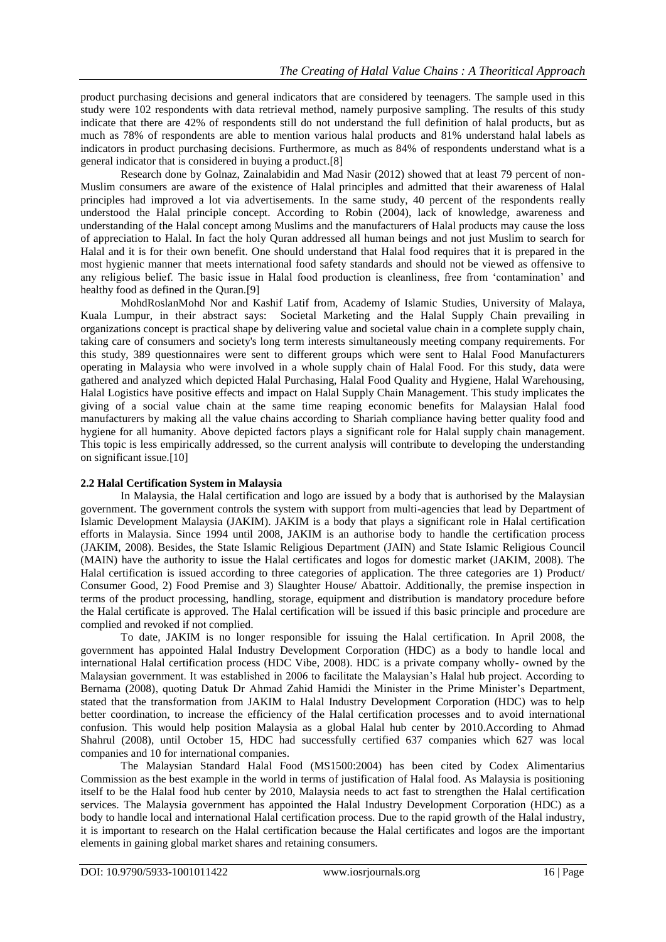product purchasing decisions and general indicators that are considered by teenagers. The sample used in this study were 102 respondents with data retrieval method, namely purposive sampling. The results of this study indicate that there are 42% of respondents still do not understand the full definition of halal products, but as much as 78% of respondents are able to mention various halal products and 81% understand halal labels as indicators in product purchasing decisions. Furthermore, as much as 84% of respondents understand what is a general indicator that is considered in buying a product.[8]

Research done by Golnaz, Zainalabidin and Mad Nasir (2012) showed that at least 79 percent of non-Muslim consumers are aware of the existence of Halal principles and admitted that their awareness of Halal principles had improved a lot via advertisements. In the same study, 40 percent of the respondents really understood the Halal principle concept. According to Robin (2004), lack of knowledge, awareness and understanding of the Halal concept among Muslims and the manufacturers of Halal products may cause the loss of appreciation to Halal. In fact the holy Quran addressed all human beings and not just Muslim to search for Halal and it is for their own benefit. One should understand that Halal food requires that it is prepared in the most hygienic manner that meets international food safety standards and should not be viewed as offensive to any religious belief. The basic issue in Halal food production is cleanliness, free from "contamination" and healthy food as defined in the Quran.[9]

MohdRoslanMohd Nor and Kashif Latif from, Academy of Islamic Studies, University of Malaya, Kuala Lumpur, in their abstract says: Societal Marketing and the Halal Supply Chain prevailing in organizations concept is practical shape by delivering value and societal value chain in a complete supply chain, taking care of consumers and society's long term interests simultaneously meeting company requirements. For this study, 389 questionnaires were sent to different groups which were sent to Halal Food Manufacturers operating in Malaysia who were involved in a whole supply chain of Halal Food. For this study, data were gathered and analyzed which depicted Halal Purchasing, Halal Food Quality and Hygiene, Halal Warehousing, Halal Logistics have positive effects and impact on Halal Supply Chain Management. This study implicates the giving of a social value chain at the same time reaping economic benefits for Malaysian Halal food manufacturers by making all the value chains according to Shariah compliance having better quality food and hygiene for all humanity. Above depicted factors plays a significant role for Halal supply chain management. This topic is less empirically addressed, so the current analysis will contribute to developing the understanding on significant issue.[10]

## **2.2 Halal Certification System in Malaysia**

In Malaysia, the Halal certification and logo are issued by a body that is authorised by the Malaysian government. The government controls the system with support from multi-agencies that lead by Department of Islamic Development Malaysia (JAKIM). JAKIM is a body that plays a significant role in Halal certification efforts in Malaysia. Since 1994 until 2008, JAKIM is an authorise body to handle the certification process (JAKIM, 2008). Besides, the State Islamic Religious Department (JAIN) and State Islamic Religious Council (MAIN) have the authority to issue the Halal certificates and logos for domestic market (JAKIM, 2008). The Halal certification is issued according to three categories of application. The three categories are 1) Product/ Consumer Good, 2) Food Premise and 3) Slaughter House/ Abattoir. Additionally, the premise inspection in terms of the product processing, handling, storage, equipment and distribution is mandatory procedure before the Halal certificate is approved. The Halal certification will be issued if this basic principle and procedure are complied and revoked if not complied.

To date, JAKIM is no longer responsible for issuing the Halal certification. In April 2008, the government has appointed Halal Industry Development Corporation (HDC) as a body to handle local and international Halal certification process (HDC Vibe, 2008). HDC is a private company wholly- owned by the Malaysian government. It was established in 2006 to facilitate the Malaysian"s Halal hub project. According to Bernama (2008), quoting Datuk Dr Ahmad Zahid Hamidi the Minister in the Prime Minister"s Department, stated that the transformation from JAKIM to Halal Industry Development Corporation (HDC) was to help better coordination, to increase the efficiency of the Halal certification processes and to avoid international confusion. This would help position Malaysia as a global Halal hub center by 2010.According to Ahmad Shahrul (2008), until October 15, HDC had successfully certified 637 companies which 627 was local companies and 10 for international companies.

The Malaysian Standard Halal Food (MS1500:2004) has been cited by Codex Alimentarius Commission as the best example in the world in terms of justification of Halal food. As Malaysia is positioning itself to be the Halal food hub center by 2010, Malaysia needs to act fast to strengthen the Halal certification services. The Malaysia government has appointed the Halal Industry Development Corporation (HDC) as a body to handle local and international Halal certification process. Due to the rapid growth of the Halal industry, it is important to research on the Halal certification because the Halal certificates and logos are the important elements in gaining global market shares and retaining consumers.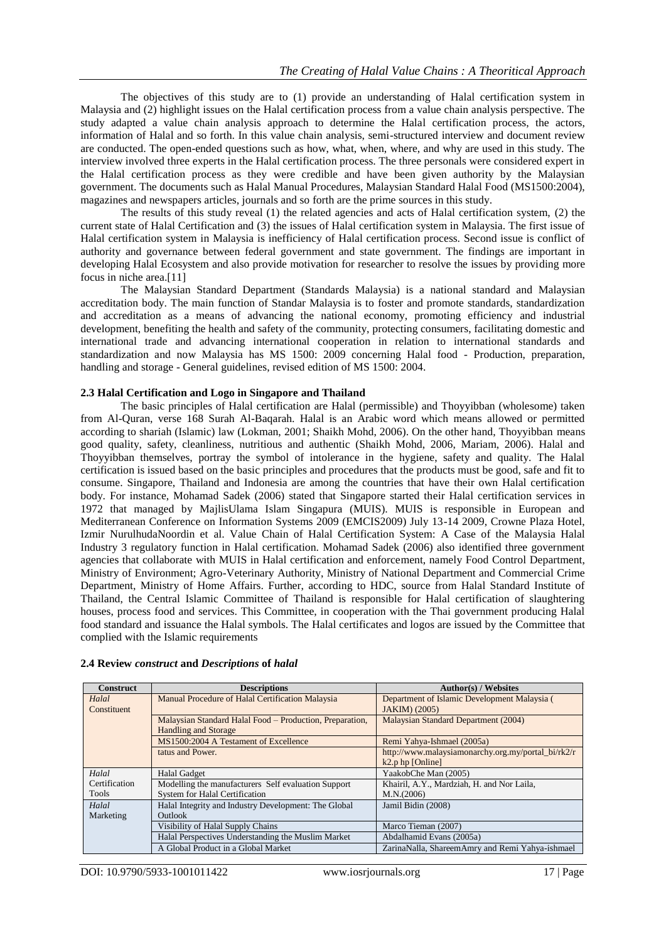The objectives of this study are to (1) provide an understanding of Halal certification system in Malaysia and (2) highlight issues on the Halal certification process from a value chain analysis perspective. The study adapted a value chain analysis approach to determine the Halal certification process, the actors, information of Halal and so forth. In this value chain analysis, semi-structured interview and document review are conducted. The open-ended questions such as how, what, when, where, and why are used in this study. The interview involved three experts in the Halal certification process. The three personals were considered expert in the Halal certification process as they were credible and have been given authority by the Malaysian government. The documents such as Halal Manual Procedures, Malaysian Standard Halal Food (MS1500:2004), magazines and newspapers articles, journals and so forth are the prime sources in this study.

The results of this study reveal (1) the related agencies and acts of Halal certification system, (2) the current state of Halal Certification and (3) the issues of Halal certification system in Malaysia. The first issue of Halal certification system in Malaysia is inefficiency of Halal certification process. Second issue is conflict of authority and governance between federal government and state government. The findings are important in developing Halal Ecosystem and also provide motivation for researcher to resolve the issues by providing more focus in niche area.[11]

The Malaysian Standard Department (Standards Malaysia) is a national standard and Malaysian accreditation body. The main function of Standar Malaysia is to foster and promote standards, standardization and accreditation as a means of advancing the national economy, promoting efficiency and industrial development, benefiting the health and safety of the community, protecting consumers, facilitating domestic and international trade and advancing international cooperation in relation to international standards and standardization and now Malaysia has MS 1500: 2009 concerning Halal food - Production, preparation, handling and storage - General guidelines, revised edition of MS 1500: 2004.

## **2.3 Halal Certification and Logo in Singapore and Thailand**

The basic principles of Halal certification are Halal (permissible) and Thoyyibban (wholesome) taken from Al-Quran, verse 168 Surah Al-Baqarah. Halal is an Arabic word which means allowed or permitted according to shariah (Islamic) law (Lokman, 2001; Shaikh Mohd, 2006). On the other hand, Thoyyibban means good quality, safety, cleanliness, nutritious and authentic (Shaikh Mohd, 2006, Mariam, 2006). Halal and Thoyyibban themselves, portray the symbol of intolerance in the hygiene, safety and quality. The Halal certification is issued based on the basic principles and procedures that the products must be good, safe and fit to consume. Singapore, Thailand and Indonesia are among the countries that have their own Halal certification body. For instance, Mohamad Sadek (2006) stated that Singapore started their Halal certification services in 1972 that managed by MajlisUlama Islam Singapura (MUIS). MUIS is responsible in European and Mediterranean Conference on Information Systems 2009 (EMCIS2009) July 13-14 2009, Crowne Plaza Hotel, Izmir NurulhudaNoordin et al. Value Chain of Halal Certification System: A Case of the Malaysia Halal Industry 3 regulatory function in Halal certification. Mohamad Sadek (2006) also identified three government agencies that collaborate with MUIS in Halal certification and enforcement, namely Food Control Department, Ministry of Environment; Agro-Veterinary Authority, Ministry of National Department and Commercial Crime Department, Ministry of Home Affairs. Further, according to HDC, source from Halal Standard Institute of Thailand, the Central Islamic Committee of Thailand is responsible for Halal certification of slaughtering houses, process food and services. This Committee, in cooperation with the Thai government producing Halal food standard and issuance the Halal symbols. The Halal certificates and logos are issued by the Committee that complied with the Islamic requirements

| <b>Construct</b> | <b>Descriptions</b>                                      | <b>Author(s) / Websites</b>                        |
|------------------|----------------------------------------------------------|----------------------------------------------------|
| Halal            | Manual Procedure of Halal Certification Malaysia         | Department of Islamic Development Malaysia (       |
| Constituent      |                                                          | <b>JAKIM</b> ) (2005)                              |
|                  | Malaysian Standard Halal Food – Production, Preparation, | Malaysian Standard Department (2004)               |
|                  | <b>Handling and Storage</b>                              |                                                    |
|                  | MS1500:2004 A Testament of Excellence                    | Remi Yahya-Ishmael (2005a)                         |
|                  | tatus and Power.                                         | http://www.malaysiamonarchy.org.my/portal_bi/rk2/r |
|                  |                                                          | $k2.p$ hp [Online]                                 |
| Halal            | Halal Gadget                                             | YaakobChe Man (2005)                               |
| Certification    | Modelling the manufacturers Self evaluation Support      | Khairil, A.Y., Mardziah, H. and Nor Laila,         |
| Tools            | <b>System for Halal Certification</b>                    | M.N.(2006)                                         |
| Halal            | Halal Integrity and Industry Development: The Global     | Jamil Bidin (2008)                                 |
| Marketing        | <b>Outlook</b>                                           |                                                    |
|                  | Visibility of Halal Supply Chains                        | Marco Tieman (2007)                                |
|                  | Halal Perspectives Understanding the Muslim Market       | Abdalhamid Evans (2005a)                           |
|                  | A Global Product in a Global Market                      | ZarinaNalla, ShareemAmry and Remi Yahya-ishmael    |

## **2.4 Review** *construct* **and** *Descriptions* **of** *halal*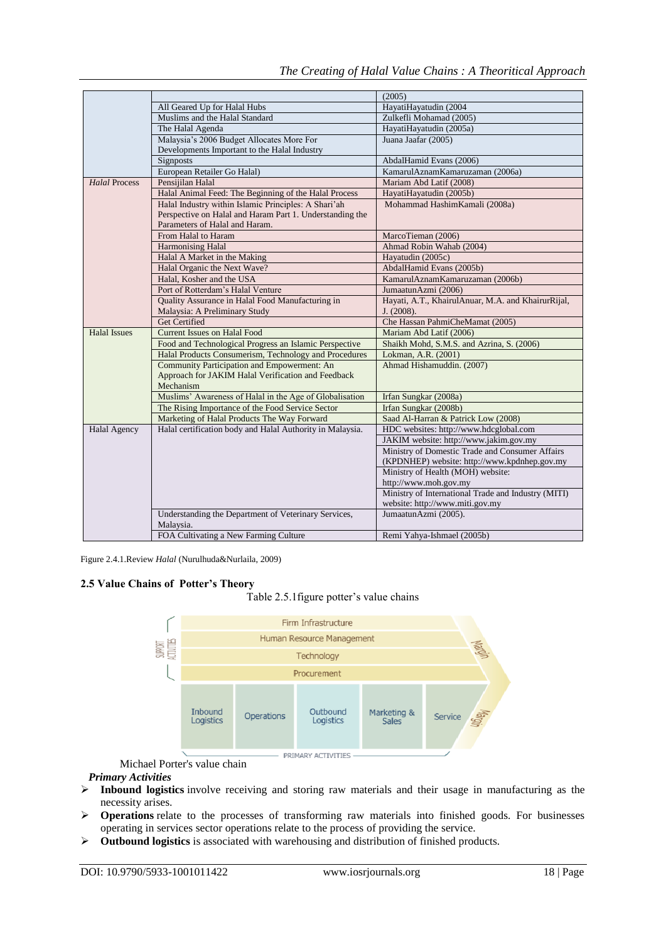|                      |                                                           | (2005)                                              |
|----------------------|-----------------------------------------------------------|-----------------------------------------------------|
|                      | All Geared Up for Halal Hubs                              | HayatiHayatudin (2004                               |
|                      | Muslims and the Halal Standard                            | Zulkefli Mohamad (2005)                             |
|                      | The Halal Agenda                                          | HayatiHayatudin (2005a)                             |
|                      | Malaysia's 2006 Budget Allocates More For                 | Juana Jaafar (2005)                                 |
|                      | Developments Important to the Halal Industry              |                                                     |
|                      | Signposts                                                 | AbdalHamid Evans (2006)                             |
|                      | European Retailer Go Halal)                               | KamarulAznamKamaruzaman (2006a)                     |
| <b>Halal Process</b> | Pensijilan Halal                                          | Mariam Abd Latif (2008)                             |
|                      | Halal Animal Feed: The Beginning of the Halal Process     | HayatiHayatudin (2005b)                             |
|                      | Halal Industry within Islamic Principles: A Shari'ah      | Mohammad HashimKamali (2008a)                       |
|                      | Perspective on Halal and Haram Part 1. Understanding the  |                                                     |
|                      | Parameters of Halal and Haram.                            |                                                     |
|                      | From Halal to Haram                                       | MarcoTieman (2006)                                  |
|                      | <b>Harmonising Halal</b>                                  | Ahmad Robin Wahab (2004)                            |
|                      | Halal A Market in the Making                              | Hayatudin (2005c)                                   |
|                      | Halal Organic the Next Wave?                              | AbdalHamid Evans (2005b)                            |
|                      | Halal, Kosher and the USA                                 | KamarulAznamKamaruzaman (2006b)                     |
|                      | Port of Rotterdam's Halal Venture                         | JumaatunAzmi (2006)                                 |
|                      | Quality Assurance in Halal Food Manufacturing in          | Hayati, A.T., KhairulAnuar, M.A. and KhairurRijal,  |
|                      | Malaysia: A Preliminary Study                             | J. (2008).                                          |
|                      | Get Certified                                             | Che Hassan PahmiCheMamat (2005)                     |
| <b>Halal Issues</b>  | <b>Current Issues on Halal Food</b>                       | Mariam Abd Latif (2006)                             |
|                      | Food and Technological Progress an Islamic Perspective    | Shaikh Mohd, S.M.S. and Azrina, S. (2006)           |
|                      | Halal Products Consumerism, Technology and Procedures     | Lokman, A.R. (2001)                                 |
|                      | Community Participation and Empowerment: An               | Ahmad Hishamuddin. (2007)                           |
|                      | Approach for JAKIM Halal Verification and Feedback        |                                                     |
|                      | Mechanism                                                 |                                                     |
|                      | Muslims' Awareness of Halal in the Age of Globalisation   | Irfan Sungkar (2008a)                               |
|                      | The Rising Importance of the Food Service Sector          | Irfan Sungkar (2008b)                               |
|                      | Marketing of Halal Products The Way Forward               | Saad Al-Harran & Patrick Low (2008)                 |
| Halal Agency         | Halal certification body and Halal Authority in Malaysia. | HDC websites: http://www.hdcglobal.com              |
|                      |                                                           | JAKIM website: http://www.jakim.gov.my              |
|                      |                                                           | Ministry of Domestic Trade and Consumer Affairs     |
|                      |                                                           | (KPDNHEP) website: http://www.kpdnhep.gov.my        |
|                      |                                                           | Ministry of Health (MOH) website:                   |
|                      |                                                           | http://www.moh.gov.my                               |
|                      |                                                           | Ministry of International Trade and Industry (MITI) |
|                      |                                                           | website: http://www.miti.gov.my                     |
|                      | Understanding the Department of Veterinary Services,      | JumaatunAzmi (2005).                                |
|                      | Malaysia.                                                 |                                                     |
|                      | FOA Cultivating a New Farming Culture                     | Remi Yahya-Ishmael (2005b)                          |

Figure 2.4.1.Review *Halal* (Nurulhuda&Nurlaila, 2009)

## **2.5 Value Chains of Potter's Theory**





Michael Porter's value chain

## *Primary Activities*

- **Inbound logistics** involve receiving and storing raw materials and their usage in manufacturing as the necessity arises.
- **Operations** relate to the processes of transforming raw materials into finished goods. For businesses operating in services sector operations relate to the process of providing the service.
- **Outbound logistics** is associated with warehousing and distribution of finished products.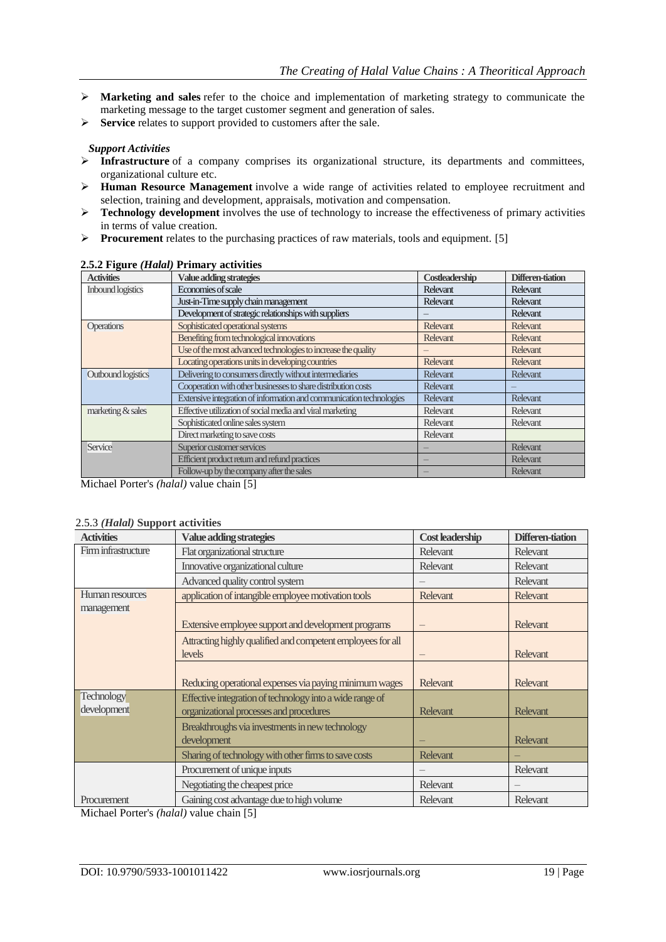- **Marketing and sales** refer to the choice and implementation of marketing strategy to communicate the marketing message to the target customer segment and generation of sales.
- **Service** relates to support provided to customers after the sale.

## *Support Activities*

- **Infrastructure** of a company comprises its organizational structure, its departments and committees, organizational culture etc.
- **Human Resource Management** involve a wide range of activities related to employee recruitment and selection, training and development, appraisals, motivation and compensation.
- **Technology development** involves the use of technology to increase the effectiveness of primary activities in terms of value creation.
- **Procurement** relates to the purchasing practices of raw materials, tools and equipment. [5]

| <b>Activities</b>        | Value adding strategies                                             | Costleadership  | Differen-tiation |
|--------------------------|---------------------------------------------------------------------|-----------------|------------------|
| <b>Inbound logistics</b> | Economies of scale                                                  | Relevant        | Relevant         |
|                          | Just-in-Time supply chain management                                | <b>Relevant</b> | <b>Relevant</b>  |
|                          | Development of strategic relationships with suppliers               |                 | <b>Relevant</b>  |
| <b>Operations</b>        | Sophisticated operational systems                                   | <b>Relevant</b> | Relevant         |
|                          | Benefiting from technological innovations                           | <b>Relevant</b> | Relevant         |
|                          | Use of the most advanced technologies to increase the quality       |                 | Relevant         |
|                          | Locating operations units in developing countries                   | <b>Relevant</b> | Relevant         |
| Outbound logistics       | Delivering to consumers directly without intermediaries             | <b>Relevant</b> | Relevant         |
|                          | Cooperation with other businesses to share distribution costs       | <b>Relevant</b> |                  |
|                          | Extensive integration of information and communication technologies | <b>Relevant</b> | <b>Relevant</b>  |
| marketing & sales        | Effective utilization of social media and viral marketing           | Relevant        | Relevant         |
|                          | Sophisticated online sales system                                   | <b>Relevant</b> | Relevant         |
|                          | Direct marketing to save costs                                      | Relevant        |                  |
| Service                  | Superior customer services                                          |                 | <b>Relevant</b>  |
|                          | Efficient product return and refund practices                       |                 | Relevant         |
|                          | Follow-up by the company after the sales                            |                 | <b>Relevant</b>  |

## **2.5.2 Figure** *(Halal)* **Primary activities**

Michael Porter's *(halal)* value chain [5]

## 2.5.3 *(Halal)* **Support activities**

| <b>Activities</b>   | Value adding strategies                                     | <b>Cost leadership</b> | Differen-tiation |
|---------------------|-------------------------------------------------------------|------------------------|------------------|
| Firm infrastructure | Flat organizational structure                               | <b>Relevant</b>        | <b>Relevant</b>  |
|                     | Innovative organizational culture                           | <b>Relevant</b>        | Relevant         |
|                     | Advanced quality control system                             |                        | Relevant         |
| Human resources     | application of intangible employee motivation tools         | <b>Relevant</b>        | <b>Relevant</b>  |
| management          |                                                             |                        |                  |
|                     | Extensive employee support and development programs         |                        | <b>Relevant</b>  |
|                     | Attracting highly qualified and competent employees for all |                        |                  |
|                     | <i>levels</i>                                               |                        | Relevant         |
|                     |                                                             |                        |                  |
|                     | Reducing operational expenses via paying minimum wages      | <b>Relevant</b>        | <b>Relevant</b>  |
| <b>Technology</b>   | Effective integration of technology into a wide range of    |                        |                  |
| development         | organizational processes and procedures                     | <b>Relevant</b>        | <b>Relevant</b>  |
|                     | Breakthroughs via investments in new technology             |                        |                  |
|                     | development                                                 |                        | <b>Relevant</b>  |
|                     | Sharing of technology with other firms to save costs        | <b>Relevant</b>        |                  |
|                     | Procurement of unique inputs                                |                        | Relevant         |
|                     | Negotiating the cheapest price                              | Relevant               |                  |
| Procurement         | Gaining cost advantage due to high volume                   | <b>Relevant</b>        | <b>Relevant</b>  |

Michael Porter's *(halal)* value chain [5]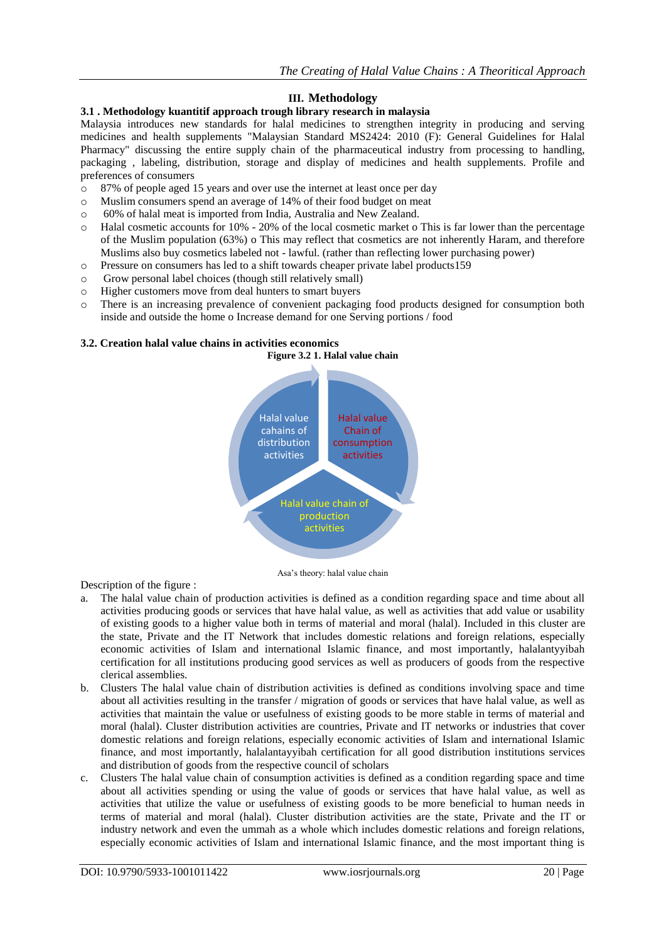## **III. Methodology**

## **3.1 . Methodology kuantitif approach trough library research in malaysia**

Malaysia introduces new standards for halal medicines to strengthen integrity in producing and serving medicines and health supplements "Malaysian Standard MS2424: 2010 (F): General Guidelines for Halal Pharmacy" discussing the entire supply chain of the pharmaceutical industry from processing to handling, packaging , labeling, distribution, storage and display of medicines and health supplements. Profile and preferences of consumers

- o 87% of people aged 15 years and over use the internet at least once per day
- o Muslim consumers spend an average of 14% of their food budget on meat
- o 60% of halal meat is imported from India, Australia and New Zealand.
- o Halal cosmetic accounts for 10% 20% of the local cosmetic market o This is far lower than the percentage of the Muslim population (63%) o This may reflect that cosmetics are not inherently Haram, and therefore Muslims also buy cosmetics labeled not - lawful. (rather than reflecting lower purchasing power)
- o Pressure on consumers has led to a shift towards cheaper private label products159
- o Grow personal label choices (though still relatively small)
- o Higher customers move from deal hunters to smart buyers
- o There is an increasing prevalence of convenient packaging food products designed for consumption both inside and outside the home o Increase demand for one Serving portions / food

## **3.2. Creation halal value chains in activities economics**



Asa"s theory: halal value chain

Description of the figure :

- a. The halal value chain of production activities is defined as a condition regarding space and time about all activities producing goods or services that have halal value, as well as activities that add value or usability of existing goods to a higher value both in terms of material and moral (halal). Included in this cluster are the state, Private and the IT Network that includes domestic relations and foreign relations, especially economic activities of Islam and international Islamic finance, and most importantly, halalantyyibah certification for all institutions producing good services as well as producers of goods from the respective clerical assemblies.
- b. Clusters The halal value chain of distribution activities is defined as conditions involving space and time about all activities resulting in the transfer / migration of goods or services that have halal value, as well as activities that maintain the value or usefulness of existing goods to be more stable in terms of material and moral (halal). Cluster distribution activities are countries, Private and IT networks or industries that cover domestic relations and foreign relations, especially economic activities of Islam and international Islamic finance, and most importantly, halalantayyibah certification for all good distribution institutions services and distribution of goods from the respective council of scholars
- c. Clusters The halal value chain of consumption activities is defined as a condition regarding space and time about all activities spending or using the value of goods or services that have halal value, as well as activities that utilize the value or usefulness of existing goods to be more beneficial to human needs in terms of material and moral (halal). Cluster distribution activities are the state, Private and the IT or industry network and even the ummah as a whole which includes domestic relations and foreign relations, especially economic activities of Islam and international Islamic finance, and the most important thing is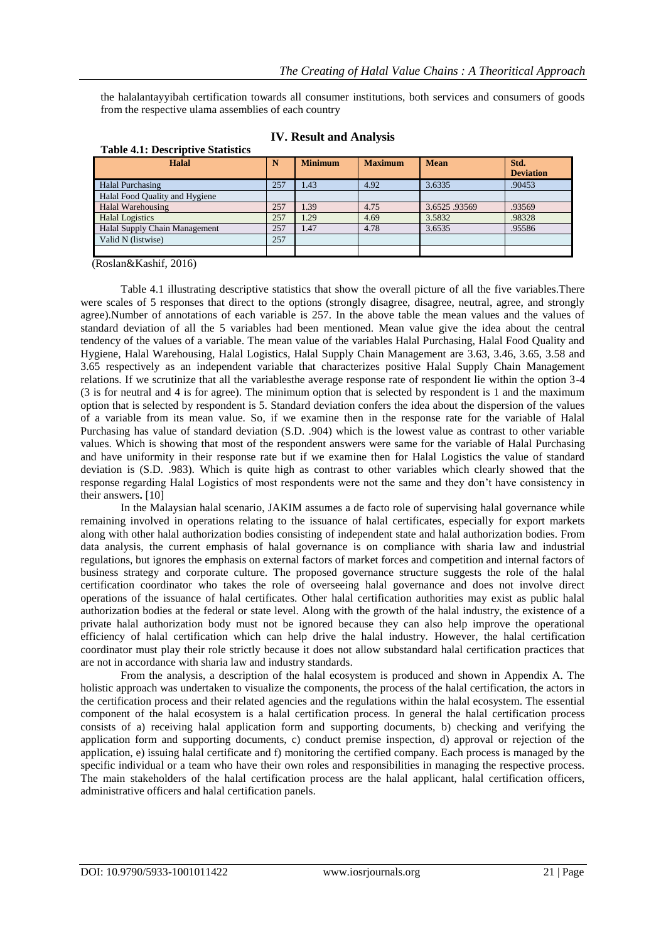the halalantayyibah certification towards all consumer institutions, both services and consumers of goods from the respective ulama assemblies of each country

| <b>Halal</b>                   | N   | <b>Minimum</b> | <b>Maximum</b> | <b>Mean</b>  | Std.             |
|--------------------------------|-----|----------------|----------------|--------------|------------------|
|                                |     |                |                |              | <b>Deviation</b> |
| Halal Purchasing               | 257 | 1.43           | 4.92           | 3.6335       | .90453           |
| Halal Food Quality and Hygiene |     |                |                |              |                  |
| Halal Warehousing              | 257 | 1.39           | 4.75           | 3.6525.93569 | .93569           |
| <b>Halal Logistics</b>         | 257 | 1.29           | 4.69           | 3.5832       | .98328           |
| Halal Supply Chain Management  | 257 | 1.47           | 4.78           | 3.6535       | .95586           |
| Valid N (listwise)             | 257 |                |                |              |                  |
|                                |     |                |                |              |                  |

|  | <b>IV. Result and Analysis</b> |  |  |  |
|--|--------------------------------|--|--|--|
|--|--------------------------------|--|--|--|

(Roslan&Kashif, 2016)

**Table 4.1: Descriptive Statistics**

Table 4.1 illustrating descriptive statistics that show the overall picture of all the five variables.There were scales of 5 responses that direct to the options (strongly disagree, disagree, neutral, agree, and strongly agree).Number of annotations of each variable is 257. In the above table the mean values and the values of standard deviation of all the 5 variables had been mentioned. Mean value give the idea about the central tendency of the values of a variable. The mean value of the variables Halal Purchasing, Halal Food Quality and Hygiene, Halal Warehousing, Halal Logistics, Halal Supply Chain Management are 3.63, 3.46, 3.65, 3.58 and 3.65 respectively as an independent variable that characterizes positive Halal Supply Chain Management relations. If we scrutinize that all the variablesthe average response rate of respondent lie within the option 3-4 (3 is for neutral and 4 is for agree). The minimum option that is selected by respondent is 1 and the maximum option that is selected by respondent is 5. Standard deviation confers the idea about the dispersion of the values of a variable from its mean value. So, if we examine then in the response rate for the variable of Halal Purchasing has value of standard deviation (S.D. .904) which is the lowest value as contrast to other variable values. Which is showing that most of the respondent answers were same for the variable of Halal Purchasing and have uniformity in their response rate but if we examine then for Halal Logistics the value of standard deviation is (S.D. .983). Which is quite high as contrast to other variables which clearly showed that the response regarding Halal Logistics of most respondents were not the same and they don"t have consistency in their answers**.** [10]

In the Malaysian halal scenario, JAKIM assumes a de facto role of supervising halal governance while remaining involved in operations relating to the issuance of halal certificates, especially for export markets along with other halal authorization bodies consisting of independent state and halal authorization bodies. From data analysis, the current emphasis of halal governance is on compliance with sharia law and industrial regulations, but ignores the emphasis on external factors of market forces and competition and internal factors of business strategy and corporate culture. The proposed governance structure suggests the role of the halal certification coordinator who takes the role of overseeing halal governance and does not involve direct operations of the issuance of halal certificates. Other halal certification authorities may exist as public halal authorization bodies at the federal or state level. Along with the growth of the halal industry, the existence of a private halal authorization body must not be ignored because they can also help improve the operational efficiency of halal certification which can help drive the halal industry. However, the halal certification coordinator must play their role strictly because it does not allow substandard halal certification practices that are not in accordance with sharia law and industry standards.

From the analysis, a description of the halal ecosystem is produced and shown in Appendix A. The holistic approach was undertaken to visualize the components, the process of the halal certification, the actors in the certification process and their related agencies and the regulations within the halal ecosystem. The essential component of the halal ecosystem is a halal certification process. In general the halal certification process consists of a) receiving halal application form and supporting documents, b) checking and verifying the application form and supporting documents, c) conduct premise inspection, d) approval or rejection of the application, e) issuing halal certificate and f) monitoring the certified company. Each process is managed by the specific individual or a team who have their own roles and responsibilities in managing the respective process. The main stakeholders of the halal certification process are the halal applicant, halal certification officers, administrative officers and halal certification panels.